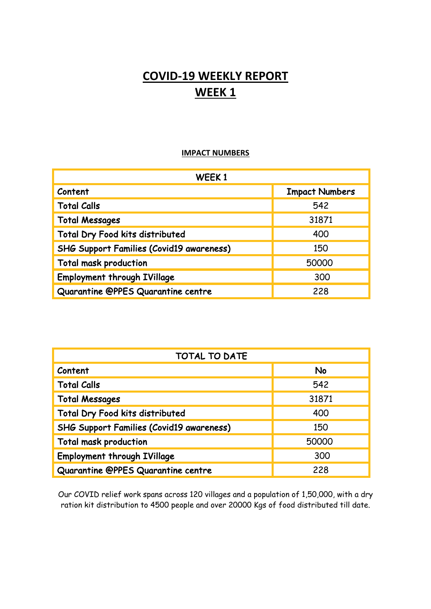## **COVID-19 WEEKLY REPORT WEEK 1**

## **IMPACT NUMBERS**

| WEEK1                                           |                       |
|-------------------------------------------------|-----------------------|
| Content                                         | <b>Impact Numbers</b> |
| <b>Total Calls</b>                              | 542                   |
| <b>Total Messages</b>                           | 31871                 |
| Total Dry Food kits distributed                 | 400                   |
| <b>SHG Support Families (Covid19 awareness)</b> | 150                   |
| Total mask production                           | 50000                 |
| <b>Employment through IVillage</b>              | 300                   |
| Quarantine @PPES Quarantine centre              | 228                   |

| <b>TOTAL TO DATE</b>                            |           |
|-------------------------------------------------|-----------|
| Content                                         | <b>No</b> |
| <b>Total Calls</b>                              | 542       |
| <b>Total Messages</b>                           | 31871     |
| Total Dry Food kits distributed                 | 400       |
| <b>SHG Support Families (Covid19 awareness)</b> | 150       |
| Total mask production                           | 50000     |
| <b>Employment through IVillage</b>              | 300       |
| Quarantine @PPES Quarantine centre              | 228       |

Our COVID relief work spans across 120 villages and a population of 1,50,000, with a dry ration kit distribution to 4500 people and over 20000 Kgs of food distributed till date.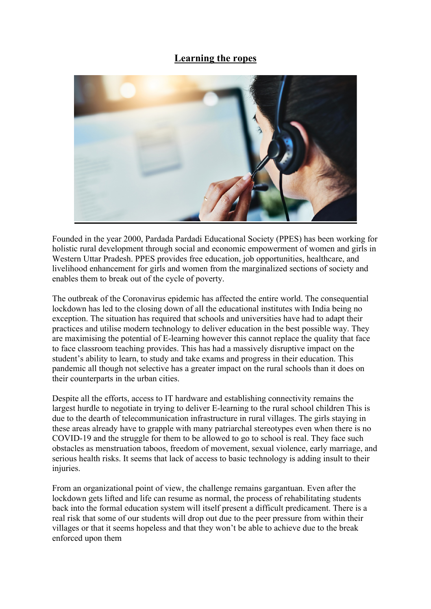## **Learning the ropes**



Founded in the year 2000, Pardada Pardadi Educational Society (PPES) has been working for holistic rural development through social and economic empowerment of women and girls in Western Uttar Pradesh. PPES provides free education, job opportunities, healthcare, and livelihood enhancement for girls and women from the marginalized sections of society and enables them to break out of the cycle of poverty.

The outbreak of the Coronavirus epidemic has affected the entire world. The consequential lockdown has led to the closing down of all the educational institutes with India being no exception. The situation has required that schools and universities have had to adapt their practices and utilise modern technology to deliver education in the best possible way. They are maximising the potential of E-learning however this cannot replace the quality that face to face classroom teaching provides. This has had a massively disruptive impact on the student's ability to learn, to study and take exams and progress in their education. This pandemic all though not selective has a greater impact on the rural schools than it does on their counterparts in the urban cities.

Despite all the efforts, access to IT hardware and establishing connectivity remains the largest hurdle to negotiate in trying to deliver E-learning to the rural school children This is due to the dearth of telecommunication infrastructure in rural villages. The girls staying in these areas already have to grapple with many patriarchal stereotypes even when there is no COVID-19 and the struggle for them to be allowed to go to school is real. They face such obstacles as menstruation taboos, freedom of movement, sexual violence, early marriage, and serious health risks. It seems that lack of access to basic technology is adding insult to their injuries.

From an organizational point of view, the challenge remains gargantuan. Even after the lockdown gets lifted and life can resume as normal, the process of rehabilitating students back into the formal education system will itself present a difficult predicament. There is a real risk that some of our students will drop out due to the peer pressure from within their villages or that it seems hopeless and that they won't be able to achieve due to the break enforced upon them